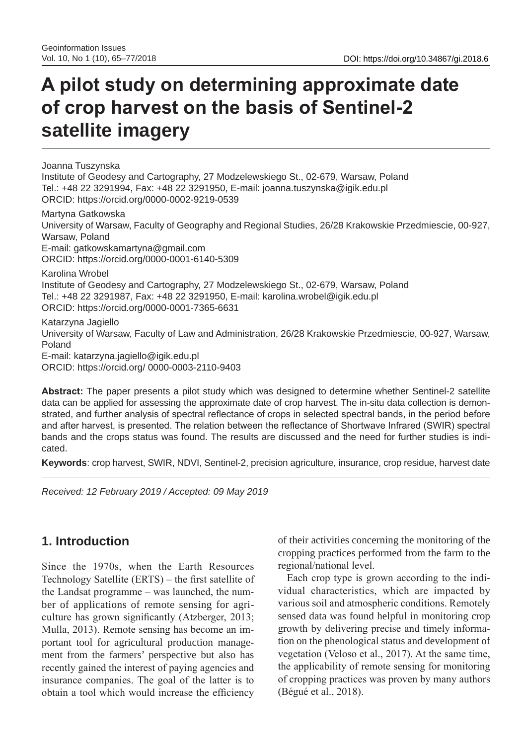# **A pilot study on determining approximate date of crop harvest on the basis of Sentinel-2 satellite imagery**

Joanna Tuszynska Institute of Geodesy and Cartography, 27 Modzelewskiego St., 02-679, Warsaw, Poland Tel.: +48 22 3291994, Fax: +48 22 3291950, E-mail: joanna.tuszynska@igik.edu.pl ORCID: https://orcid.org/0000-0002-9219-0539

Martyna Gatkowska University of Warsaw, Faculty of Geography and Regional Studies, 26/28 Krakowskie Przedmiescie, 00-927, Warsaw, Poland E-mail: gatkowskamartyna@gmail.com ORCID: https://orcid.org/0000-0001-6140-5309 Karolina Wrobel Institute of Geodesy and Cartography, 27 Modzelewskiego St., 02-679, Warsaw, Poland Tel.: +48 22 3291987, Fax: +48 22 3291950, E-mail: karolina.wrobel@igik.edu.pl ORCID: https://orcid.org/0000-0001-7365-6631 Katarzyna Jagiello University of Warsaw, Faculty of Law and Administration, 26/28 Krakowskie Przedmiescie, 00-927, Warsaw, Poland E-mail: katarzyna.jagiello@igik.edu.pl

ORCID: https://orcid.org/ 0000-0003-2110-9403

**Abstract:** The paper presents a pilot study which was designed to determine whether Sentinel-2 satellite data can be applied for assessing the approximate date of crop harvest. The in-situ data collection is demonstrated, and further analysis of spectral reflectance of crops in selected spectral bands, in the period before and after harvest, is presented. The relation between the reflectance of Shortwave Infrared (SWIR) spectral bands and the crops status was found. The results are discussed and the need for further studies is indicated.

**Keywords**: crop harvest, SWIR, NDVI, Sentinel-2, precision agriculture, insurance, crop residue, harvest date

*Received: 12 February 2019 / Accepted: 09 May 2019*

## **1. Introduction**

Since the 1970s, when the Earth Resources Technology Satellite (ERTS) – the first satellite of the Landsat programme – was launched, the number of applications of remote sensing for agriculture has grown significantly (Atzberger, 2013; Mulla, 2013). Remote sensing has become an important tool for agricultural production management from the farmers' perspective but also has recently gained the interest of paying agencies and insurance companies. The goal of the latter is to obtain a tool which would increase the efficiency

of their activities concerning the monitoring of the cropping practices performed from the farm to the regional/national level.

Each crop type is grown according to the individual characteristics, which are impacted by various soil and atmospheric conditions. Remotely sensed data was found helpful in monitoring crop growth by delivering precise and timely information on the phenological status and development of vegetation (Veloso et al., 2017). At the same time, the applicability of remote sensing for monitoring of cropping practices was proven by many authors (Bégué et al., 2018).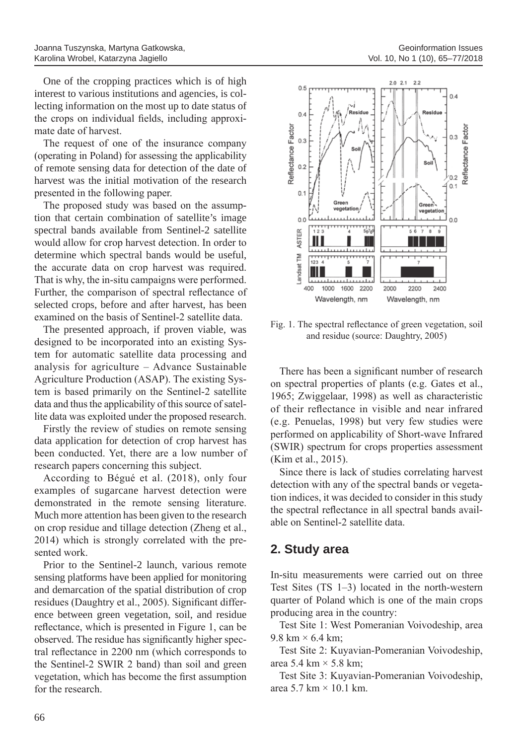One of the cropping practices which is of high interest to various institutions and agencies, is collecting information on the most up to date status of the crops on individual fields, including approximate date of harvest.

The request of one of the insurance company (operating in Poland) for assessing the applicability of remote sensing data for detection of the date of harvest was the initial motivation of the research presented in the following paper.

The proposed study was based on the assumption that certain combination of satellite's image spectral bands available from Sentinel-2 satellite would allow for crop harvest detection. In order to determine which spectral bands would be useful, the accurate data on crop harvest was required. That is why, the in-situ campaigns were performed. Further, the comparison of spectral reflectance of selected crops, before and after harvest, has been examined on the basis of Sentinel-2 satellite data.

The presented approach, if proven viable, was designed to be incorporated into an existing System for automatic satellite data processing and analysis for agriculture – Advance Sustainable Agriculture Production (ASAP). The existing System is based primarily on the Sentinel-2 satellite data and thus the applicability of this source of satellite data was exploited under the proposed research.

Firstly the review of studies on remote sensing data application for detection of crop harvest has been conducted. Yet, there are a low number of research papers concerning this subject.

According to Bégué et al. (2018), only four examples of sugarcane harvest detection were demonstrated in the remote sensing literature. Much more attention has been given to the research on crop residue and tillage detection (Zheng et al., 2014) which is strongly correlated with the presented work.

Prior to the Sentinel-2 launch, various remote sensing platforms have been applied for monitoring and demarcation of the spatial distribution of crop residues (Daughtry et al., 2005). Significant difference between green vegetation, soil, and residue reflectance, which is presented in Figure 1, can be observed. The residue has significantly higher spectral reflectance in 2200 nm (which corresponds to the Sentinel-2 SWIR 2 band) than soil and green vegetation, which has become the first assumption for the research.



Fig. 1. The spectral reflectance of green vegetation, soil and residue (source: Daughtry, 2005)

There has been a significant number of research on spectral properties of plants (e.g. Gates et al., 1965; Zwiggelaar, 1998) as well as characteristic of their reflectance in visible and near infrared (e.g. Penuelas, 1998) but very few studies were performed on applicability of Short-wave Infrared (SWIR) spectrum for crops properties assessment (Kim et al., 2015).

Since there is lack of studies correlating harvest detection with any of the spectral bands or vegetation indices, it was decided to consider in this study the spectral reflectance in all spectral bands available on Sentinel-2 satellite data.

# **2. Study area**

In-situ measurements were carried out on three Test Sites (TS 1–3) located in the north-western quarter of Poland which is one of the main crops producing area in the country:

Test Site 1: West Pomeranian Voivodeship, area  $9.8 \text{ km} \times 6.4 \text{ km}$ ;

Test Site 2: Kuyavian-Pomeranian Voivodeship, area 5.4 km  $\times$  5.8 km;

Test Site 3: Kuyavian-Pomeranian Voivodeship, area  $5.7 \text{ km} \times 10.1 \text{ km}$ .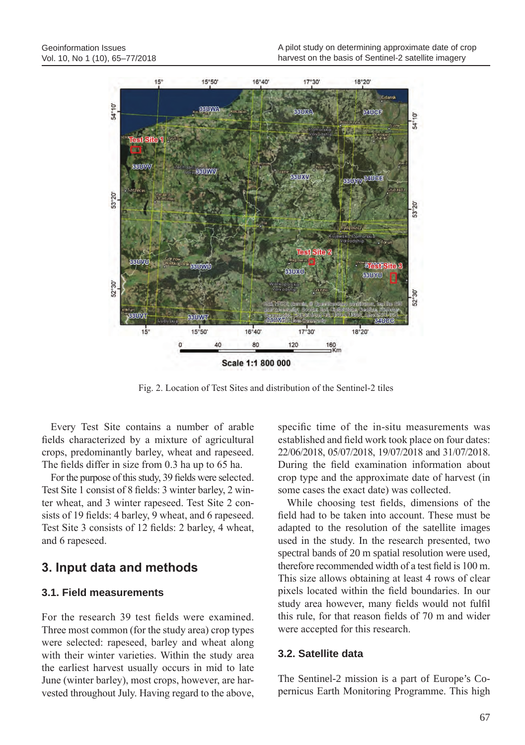

Fig. 2. Location of Test Sites and distribution of the Sentinel-2 tiles

Every Test Site contains a number of arable fields characterized by a mixture of agricultural crops, predominantly barley, wheat and rapeseed. The fields differ in size from 0.3 ha up to 65 ha.

For the purpose of this study, 39 fields were selected. Test Site 1 consist of 8 fields: 3 winter barley, 2 winter wheat, and 3 winter rapeseed. Test Site 2 consists of 19 fields: 4 barley, 9 wheat, and 6 rapeseed. Test Site 3 consists of 12 fields: 2 barley, 4 wheat, and 6 rapeseed.

## **3. Input data and methods**

### **3.1. Field measurements**

For the research 39 test fields were examined. Three most common (for the study area) crop types were selected: rapeseed, barley and wheat along with their winter varieties. Within the study area the earliest harvest usually occurs in mid to late June (winter barley), most crops, however, are harvested throughout July. Having regard to the above, specific time of the in-situ measurements was established and field work took place on four dates: 22/06/2018, 05/07/2018, 19/07/2018 and 31/07/2018. During the field examination information about crop type and the approximate date of harvest (in some cases the exact date) was collected.

While choosing test fields, dimensions of the field had to be taken into account. These must be adapted to the resolution of the satellite images used in the study. In the research presented, two spectral bands of 20 m spatial resolution were used, therefore recommended width of a test field is 100 m. This size allows obtaining at least 4 rows of clear pixels located within the field boundaries. In our study area however, many fields would not fulfil this rule, for that reason fields of 70 m and wider were accepted for this research.

### **3.2. Satellite data**

The Sentinel-2 mission is a part of Europe's Copernicus Earth Monitoring Programme. This high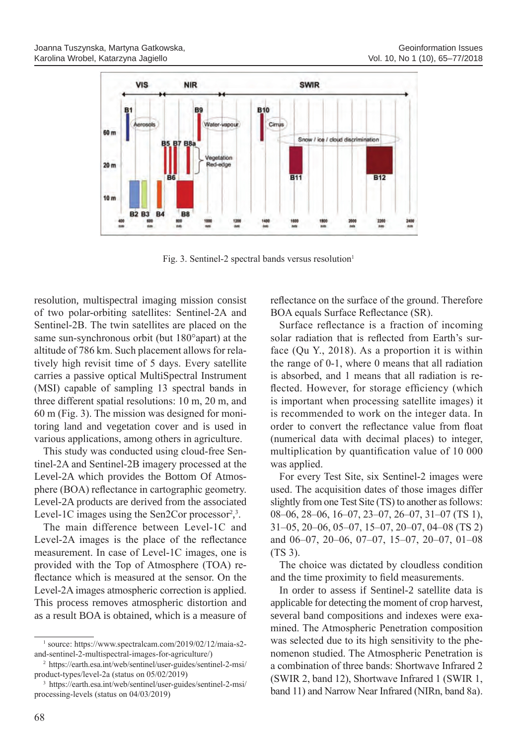

Fig. 3. Sentinel-2 spectral bands versus resolution<sup>1</sup>

resolution, multispectral imaging mission consist of two polar-orbiting satellites: Sentinel-2A and Sentinel-2B. The twin satellites are placed on the same sun-synchronous orbit (but 180°apart) at the altitude of 786 km. Such placement allows for relatively high revisit time of 5 days. Every satellite carries a passive optical MultiSpectral Instrument (MSI) capable of sampling 13 spectral bands in three different spatial resolutions: 10 m, 20 m, and 60 m (Fig. 3). The mission was designed for monitoring land and vegetation cover and is used in various applications, among others in agriculture.

This study was conducted using cloud-free Sentinel-2A and Sentinel-2B imagery processed at the Level-2A which provides the Bottom Of Atmosphere (BOA) reflectance in cartographic geometry. Level-2A products are derived from the associated Level-1C images using the Sen2Cor processor<sup>2</sup>,<sup>3</sup>.

The main difference between Level-1C and Level-2A images is the place of the reflectance measurement. In case of Level-1C images, one is provided with the Top of Atmosphere (TOA) reflectance which is measured at the sensor. On the Level-2A images atmospheric correction is applied. This process removes atmospheric distortion and as a result BOA is obtained, which is a measure of reflectance on the surface of the ground. Therefore BOA equals Surface Reflectance (SR).

Surface reflectance is a fraction of incoming solar radiation that is reflected from Earth's surface (Qu Y., 2018). As a proportion it is within the range of 0-1, where 0 means that all radiation is absorbed, and 1 means that all radiation is reflected. However, for storage efficiency (which is important when processing satellite images) it is recommended to work on the integer data. In order to convert the reflectance value from float (numerical data with decimal places) to integer, multiplication by quantification value of 10 000 was applied.

For every Test Site, six Sentinel-2 images were used. The acquisition dates of those images differ slightly from one Test Site (TS) to another as follows: 08–06, 28–06, 16–07, 23–07, 26–07, 31–07 (TS 1), 31–05, 20–06, 05–07, 15–07, 20–07, 04–08 (TS 2) and 06–07, 20–06, 07–07, 15–07, 20–07, 01–08 (TS 3).

The choice was dictated by cloudless condition and the time proximity to field measurements.

In order to assess if Sentinel-2 satellite data is applicable for detecting the moment of crop harvest, several band compositions and indexes were examined. The Atmospheric Penetration composition was selected due to its high sensitivity to the phenomenon studied. The Atmospheric Penetration is a combination of three bands: Shortwave Infrared 2 (SWIR 2, band 12), Shortwave Infrared 1 (SWIR 1, band 11) and Narrow Near Infrared (NIRn, band 8a).

<sup>1</sup> source: https://www.spectralcam.com/2019/02/12/maia-s2 and-sentinel-2-multispectral-images-for-agriculture/)

<sup>2</sup> https://earth.esa.int/web/sentinel/user-guides/sentinel-2-msi/ product-types/level-2a (status on 05/02/2019)

<sup>3</sup> https://earth.esa.int/web/sentinel/user-guides/sentinel-2-msi/ processing-levels (status on 04/03/2019)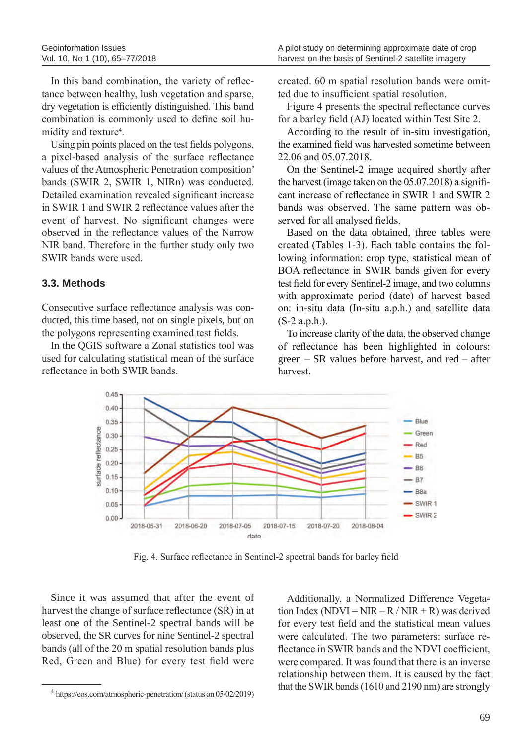In this band combination, the variety of reflectance between healthy, lush vegetation and sparse, dry vegetation is efficiently distinguished. This band combination is commonly used to define soil humidity and texture<sup>4</sup>.

Using pin points placed on the test fields polygons, a pixel-based analysis of the surface reflectance values of the Atmospheric Penetration composition' bands (SWIR 2, SWIR 1, NIRn) was conducted. Detailed examination revealed significant increase in SWIR 1 and SWIR 2 reflectance values after the event of harvest. No significant changes were observed in the reflectance values of the Narrow NIR band. Therefore in the further study only two SWIR bands were used.

### **3.3. Methods**

Consecutive surface reflectance analysis was conducted, this time based, not on single pixels, but on the polygons representing examined test fields.

In the QGIS software a Zonal statistics tool was used for calculating statistical mean of the surface reflectance in both SWIR bands.

created. 60 m spatial resolution bands were omitted due to insufficient spatial resolution.

Figure 4 presents the spectral reflectance curves for a barley field (AJ) located within Test Site 2.

According to the result of in-situ investigation, the examined field was harvested sometime between 22.06 and 05.07.2018.

On the Sentinel-2 image acquired shortly after the harvest (image taken on the 05.07.2018) a significant increase of reflectance in SWIR 1 and SWIR 2 bands was observed. The same pattern was observed for all analysed fields.

Based on the data obtained, three tables were created (Tables 1-3). Each table contains the following information: crop type, statistical mean of BOA reflectance in SWIR bands given for every test field for every Sentinel-2 image, and two columns with approximate period (date) of harvest based on: in-situ data (In-situ a.p.h.) and satellite data (S-2 a.p.h.).

To increase clarity of the data, the observed change of reflectance has been highlighted in colours: green – SR values before harvest, and red – after harvest.



Fig. 4. Surface reflectance in Sentinel-2 spectral bands for barley field

Since it was assumed that after the event of harvest the change of surface reflectance (SR) in at least one of the Sentinel-2 spectral bands will be observed, the SR curves for nine Sentinel-2 spectral bands (all of the 20 m spatial resolution bands plus Red, Green and Blue) for every test field were

<sup>4</sup> https://eos.com/atmospheric-penetration/ (status on 05/02/2019)

Additionally, a Normalized Difference Vegetation Index (NDVI = NIR – R / NIR + R) was derived for every test field and the statistical mean values were calculated. The two parameters: surface reflectance in SWIR bands and the NDVI coefficient, were compared. It was found that there is an inverse relationship between them. It is caused by the fact that the SWIR bands (1610 and 2190 nm) are strongly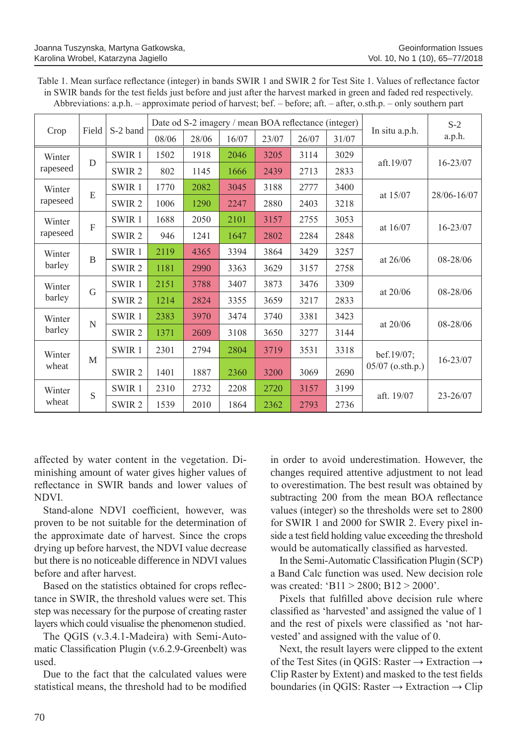| Table 1. Mean surface reflectance (integer) in bands SWIR 1 and SWIR 2 for Test Site 1. Values of reflectance factor |
|----------------------------------------------------------------------------------------------------------------------|
| in SWIR bands for the test fields just before and just after the harvest marked in green and faded red respectively. |
| Abbreviations: a.p.h. – approximate period of harvest; bef. – before; aft. – after, o.sth.p. – only southern part    |

|                    | Field          | S-2 band          | Date od S-2 imagery / mean BOA reflectance (integer) |       |       |       |       |       |                                | $S-2$        |
|--------------------|----------------|-------------------|------------------------------------------------------|-------|-------|-------|-------|-------|--------------------------------|--------------|
| Crop               |                |                   | 08/06                                                | 28/06 | 16/07 | 23/07 | 26/07 | 31/07 | In situ a.p.h.                 | a.p.h.       |
| Winter<br>rapeseed | D              | SWIR <sub>1</sub> | 1502                                                 | 1918  | 2046  | 3205  | 3114  | 3029  | aft.19/07                      | $16 - 23/07$ |
|                    |                | SWIR <sub>2</sub> | 802                                                  | 1145  | 1666  | 2439  | 2713  | 2833  |                                |              |
| Winter<br>rapeseed | E              | SWIR <sub>1</sub> | 1770                                                 | 2082  | 3045  | 3188  | 2777  | 3400  | at $15/07$                     | 28/06-16/07  |
|                    |                | SWIR <sub>2</sub> | 1006                                                 | 1290  | 2247  | 2880  | 2403  | 3218  |                                |              |
| Winter<br>rapeseed | $\mathbf{F}$   | SWIR <sub>1</sub> | 1688                                                 | 2050  | 2101  | 3157  | 2755  | 3053  | at $16/07$                     | 16-23/07     |
|                    |                | SWIR <sub>2</sub> | 946                                                  | 1241  | 1647  | 2802  | 2284  | 2848  |                                |              |
| Winter<br>barley   | $\overline{B}$ | SWIR <sub>1</sub> | 2119                                                 | 4365  | 3394  | 3864  | 3429  | 3257  | at $26/06$                     | 08-28/06     |
|                    |                | SWIR <sub>2</sub> | 1181                                                 | 2990  | 3363  | 3629  | 3157  | 2758  |                                |              |
| Winter<br>barley   | G              | SWIR <sub>1</sub> | 2151                                                 | 3788  | 3407  | 3873  | 3476  | 3309  | at $20/06$                     | 08-28/06     |
|                    |                | SWIR <sub>2</sub> | 1214                                                 | 2824  | 3355  | 3659  | 3217  | 2833  |                                |              |
| Winter<br>barley   | N              | SWIR <sub>1</sub> | 2383                                                 | 3970  | 3474  | 3740  | 3381  | 3423  | at $20/06$                     | $08 - 28/06$ |
|                    |                | SWIR <sub>2</sub> | 1371                                                 | 2609  | 3108  | 3650  | 3277  | 3144  |                                |              |
| Winter<br>wheat    | M              | SWIR <sub>1</sub> | 2301                                                 | 2794  | 2804  | 3719  | 3531  | 3318  | bef.19/07;<br>05/07 (o.sth.p.) | $16 - 23/07$ |
|                    |                | SWIR <sub>2</sub> | 1401                                                 | 1887  | 2360  | 3200  | 3069  | 2690  |                                |              |
| Winter<br>wheat    | S              | SWIR <sub>1</sub> | 2310                                                 | 2732  | 2208  | 2720  | 3157  | 3199  | aft. 19/07                     |              |
|                    |                | SWIR <sub>2</sub> | 1539                                                 | 2010  | 1864  | 2362  | 2793  | 2736  |                                | $23 - 26/07$ |

affected by water content in the vegetation. Diminishing amount of water gives higher values of reflectance in SWIR bands and lower values of NDVI.

Stand-alone NDVI coefficient, however, was proven to be not suitable for the determination of the approximate date of harvest. Since the crops drying up before harvest, the NDVI value decrease but there is no noticeable difference in NDVI values before and after harvest.

Based on the statistics obtained for crops reflectance in SWIR, the threshold values were set. This step was necessary for the purpose of creating raster layers which could visualise the phenomenon studied.

The QGIS (v.3.4.1-Madeira) with Semi-Automatic Classification Plugin (v.6.2.9-Greenbelt) was used.

Due to the fact that the calculated values were statistical means, the threshold had to be modified in order to avoid underestimation. However, the changes required attentive adjustment to not lead to overestimation. The best result was obtained by subtracting 200 from the mean BOA reflectance values (integer) so the thresholds were set to 2800 for SWIR 1 and 2000 for SWIR 2. Every pixel inside a test field holding value exceeding the threshold would be automatically classified as harvested.

In the Semi-Automatic Classification Plugin (SCP) a Band Calc function was used. New decision role was created: 'B11 > 2800; B12 > 2000'.

Pixels that fulfilled above decision rule where classified as 'harvested' and assigned the value of 1 and the rest of pixels were classified as 'not harvested' and assigned with the value of 0.

Next, the result layers were clipped to the extent of the Test Sites (in QGIS: Raster  $\rightarrow$  Extraction  $\rightarrow$ Clip Raster by Extent) and masked to the test fields boundaries (in QGIS: Raster  $\rightarrow$  Extraction  $\rightarrow$  Clip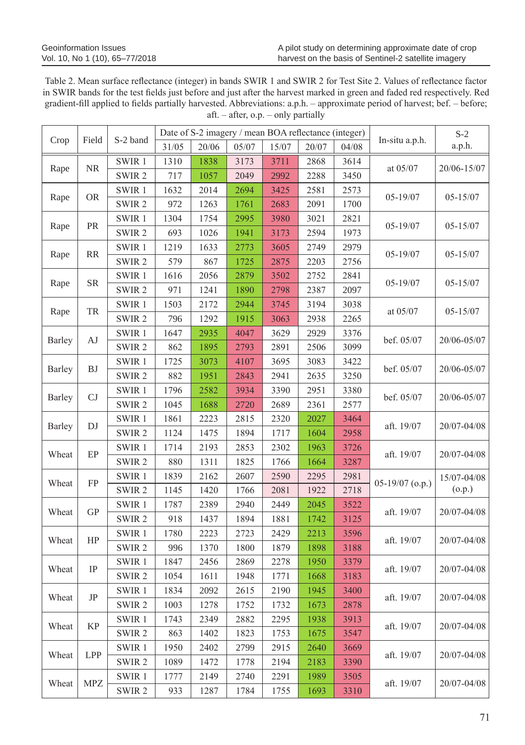Table 2. Mean surface reflectance (integer) in bands SWIR 1 and SWIR 2 for Test Site 2. Values of reflectance factor in SWIR bands for the test fields just before and just after the harvest marked in green and faded red respectively. Red gradient-fill applied to fields partially harvested. Abbreviations: a.p.h. – approximate period of harvest; bef. – before; aft. – after, o.p. – only partially

| Crop              | Field      | S-2 band          | Date of S-2 imagery / mean BOA reflectance (integer) |       |       |       |       |          | In-situ a.p.h.  | $S-2$                 |
|-------------------|------------|-------------------|------------------------------------------------------|-------|-------|-------|-------|----------|-----------------|-----------------------|
|                   |            |                   | 31/05                                                | 20/06 | 05/07 | 15/07 | 20/07 | 04/08    |                 | a.p.h.                |
| <b>NR</b><br>Rape | SWIR1      | 1310              | 1838                                                 | 3173  | 3711  | 2868  | 3614  | at 05/07 |                 |                       |
|                   |            | SWIR <sub>2</sub> | 717                                                  | 1057  | 2049  | 2992  | 2288  | 3450     |                 | 20/06-15/07           |
| <b>OR</b><br>Rape |            | SWIR1             | 1632                                                 | 2014  | 2694  | 3425  | 2581  | 2573     | $05 - 19/07$    | $05 - 15/07$          |
|                   |            | SWIR <sub>2</sub> | 972                                                  | 1263  | 1761  | 2683  | 2091  | 1700     |                 |                       |
|                   | PR         | SWIR1             | 1304                                                 | 1754  | 2995  | 3980  | 3021  | 2821     | $05 - 19/07$    | $05 - 15/07$          |
| Rape              |            | SWIR <sub>2</sub> | 693                                                  | 1026  | 1941  | 3173  | 2594  | 1973     |                 |                       |
| Rape              | RR         | SWIR1             | 1219                                                 | 1633  | 2773  | 3605  | 2749  | 2979     | $05 - 19/07$    | 05-15/07              |
|                   |            | SWIR <sub>2</sub> | 579                                                  | 867   | 1725  | 2875  | 2203  | 2756     |                 |                       |
|                   | <b>SR</b>  | SWIR 1            | 1616                                                 | 2056  | 2879  | 3502  | 2752  | 2841     | 05-19/07        | $05 - 15/07$          |
| Rape              |            | SWIR <sub>2</sub> | 971                                                  | 1241  | 1890  | 2798  | 2387  | 2097     |                 |                       |
|                   |            | SWIR1             | 1503                                                 | 2172  | 2944  | 3745  | 3194  | 3038     |                 | $05 - 15/07$          |
| Rape              | TR         | SWIR <sub>2</sub> | 796                                                  | 1292  | 1915  | 3063  | 2938  | 2265     | at $05/07$      |                       |
|                   | AJ         | SWIR1             | 1647                                                 | 2935  | 4047  | 3629  | 2929  | 3376     | bef. 05/07      | 20/06-05/07           |
| Barley            |            | SWIR <sub>2</sub> | 862                                                  | 1895  | 2793  | 2891  | 2506  | 3099     |                 |                       |
|                   | <b>BJ</b>  | SWIR1             | 1725                                                 | 3073  | 4107  | 3695  | 3083  | 3422     | bef. 05/07      | 20/06-05/07           |
| Barley            |            | SWIR <sub>2</sub> | 882                                                  | 1951  | 2843  | 2941  | 2635  | 3250     |                 |                       |
|                   | CJ         | SWIR 1            | 1796                                                 | 2582  | 3934  | 3390  | 2951  | 3380     | bef. 05/07      | 20/06-05/07           |
| <b>Barley</b>     |            | SWIR <sub>2</sub> | 1045                                                 | 1688  | 2720  | 2689  | 2361  | 2577     |                 |                       |
|                   |            | SWIR1             | 1861                                                 | 2223  | 2815  | 2320  | 2027  | 3464     | aft. 19/07      | 20/07-04/08           |
| <b>Barley</b>     | DJ         | SWIR <sub>2</sub> | 1124                                                 | 1475  | 1894  | 1717  | 1604  | 2958     |                 |                       |
|                   |            | SWIR1             | 1714                                                 | 2193  | 2853  | 2302  | 1963  | 3726     | aft. 19/07      | 20/07-04/08           |
| Wheat             | EP         | SWIR <sub>2</sub> | 880                                                  | 1311  | 1825  | 1766  | 1664  | 3287     |                 |                       |
|                   | <b>FP</b>  | SWIR1             | 1839                                                 | 2162  | 2607  | 2590  | 2295  | 2981     | 05-19/07 (o.p.) | 15/07-04/08<br>(o.p.) |
| Wheat             |            | SWIR <sub>2</sub> | 1145                                                 | 1420  | 1766  | 2081  | 1922  | 2718     |                 |                       |
|                   |            | SWIR 1            | 1787                                                 | 2389  | 2940  | 2449  | 2045  | 3522     |                 | 20/07-04/08           |
| Wheat             | ${\rm GP}$ | SWIR <sub>2</sub> | 918                                                  | 1437  | 1894  | 1881  | 1742  | 3125     | aft. 19/07      |                       |
| Wheat             | HP         | SWIR 1            | 1780                                                 | 2223  | 2723  | 2429  | 2213  | 3596     | aft. 19/07      | 20/07-04/08           |
|                   |            | SWIR <sub>2</sub> | 996                                                  | 1370  | 1800  | 1879  | 1898  | 3188     |                 |                       |
|                   | IP         | SWIR 1            | 1847                                                 | 2456  | 2869  | 2278  | 1950  | 3379     | aft. 19/07      | 20/07-04/08           |
| Wheat             |            | SWIR <sub>2</sub> | 1054                                                 | 1611  | 1948  | 1771  | 1668  | 3183     |                 |                       |
| Wheat             | $\rm{JP}$  | SWIR1             | 1834                                                 | 2092  | 2615  | 2190  | 1945  | 3400     | aft. 19/07      | 20/07-04/08           |
|                   |            | SWIR <sub>2</sub> | 1003                                                 | 1278  | 1752  | 1732  | 1673  | 2878     |                 |                       |
| Wheat             |            | SWIR1             | 1743                                                 | 2349  | 2882  | 2295  | 1938  | 3913     | aft. 19/07      | 20/07-04/08           |
|                   | <b>KP</b>  | SWIR <sub>2</sub> | 863                                                  | 1402  | 1823  | 1753  | 1675  | 3547     |                 |                       |
| Wheat             |            | SWIR 1            | 1950                                                 | 2402  | 2799  | 2915  | 2640  | 3669     | aft. 19/07      | 20/07-04/08           |
|                   | <b>LPP</b> | SWIR <sub>2</sub> | 1089                                                 | 1472  | 1778  | 2194  | 2183  | 3390     |                 |                       |
| Wheat             |            | SWIR 1            | 1777                                                 | 2149  | 2740  | 2291  | 1989  | 3505     | aft. 19/07      | 20/07-04/08           |
|                   | MPZ        | SWIR <sub>2</sub> | 933                                                  | 1287  | 1784  | 1755  | 1693  | 3310     |                 |                       |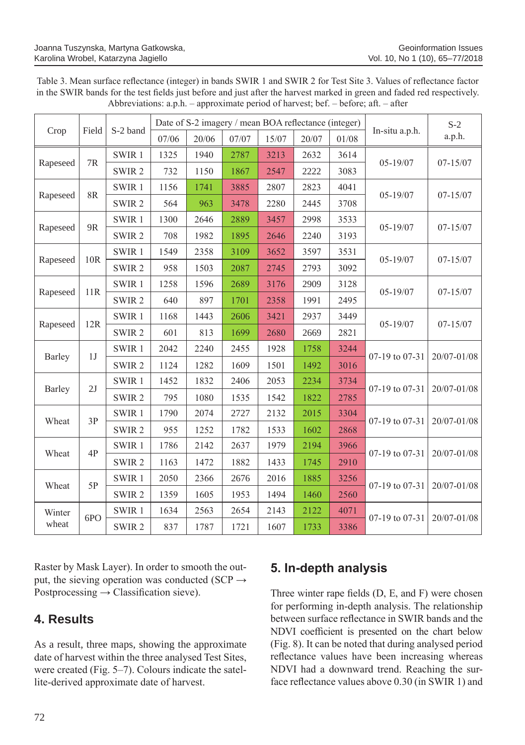| Table 3. Mean surface reflectance (integer) in bands SWIR 1 and SWIR 2 for Test Site 3. Values of reflectance factor     |
|--------------------------------------------------------------------------------------------------------------------------|
| in the SWIR bands for the test fields just before and just after the harvest marked in green and faded red respectively. |
| Abbreviations: a.p.h. – approximate period of harvest; bef. – before; aft. – after                                       |

| Crop     | Field          | S-2 band          | Date of S-2 imagery / mean BOA reflectance (integer) |       |       |       |       |       |                | $S-2$        |
|----------|----------------|-------------------|------------------------------------------------------|-------|-------|-------|-------|-------|----------------|--------------|
|          |                |                   | 07/06                                                | 20/06 | 07/07 | 15/07 | 20/07 | 01/08 | In-situ a.p.h. | a.p.h.       |
| Rapeseed |                | SWIR 1            | 1325                                                 | 1940  | 2787  | 3213  | 2632  | 3614  | $05 - 19/07$   | $07 - 15/07$ |
|          | 7R             | SWIR <sub>2</sub> | 732                                                  | 1150  | 1867  | 2547  | 2222  | 3083  |                |              |
| Rapeseed | 8R             | SWIR1             | 1156                                                 | 1741  | 3885  | 2807  | 2823  | 4041  | $05 - 19/07$   | $07 - 15/07$ |
|          |                | SWIR <sub>2</sub> | 564                                                  | 963   | 3478  | 2280  | 2445  | 3708  |                |              |
| Rapeseed | 9 <sub>R</sub> | SWIR <sub>1</sub> | 1300                                                 | 2646  | 2889  | 3457  | 2998  | 3533  | $05 - 19/07$   | $07 - 15/07$ |
|          |                | SWIR <sub>2</sub> | 708                                                  | 1982  | 1895  | 2646  | 2240  | 3193  |                |              |
| Rapeseed | 10R            | SWIR 1            | 1549                                                 | 2358  | 3109  | 3652  | 3597  | 3531  | $05 - 19/07$   | $07 - 15/07$ |
|          |                | SWIR <sub>2</sub> | 958                                                  | 1503  | 2087  | 2745  | 2793  | 3092  |                |              |
|          | 11R            | SWIR 1            | 1258                                                 | 1596  | 2689  | 3176  | 2909  | 3128  | $05 - 19/07$   | $07 - 15/07$ |
| Rapeseed |                | SWIR <sub>2</sub> | 640                                                  | 897   | 1701  | 2358  | 1991  | 2495  |                |              |
|          | 12R            | SWIR <sub>1</sub> | 1168                                                 | 1443  | 2606  | 3421  | 2937  | 3449  | $05 - 19/07$   | $07 - 15/07$ |
| Rapeseed |                | SWIR <sub>2</sub> | 601                                                  | 813   | 1699  | 2680  | 2669  | 2821  |                |              |
|          | 1J             | SWIR <sub>1</sub> | 2042                                                 | 2240  | 2455  | 1928  | 1758  | 3244  | 07-19 to 07-31 | 20/07-01/08  |
| Barley   |                | SWIR <sub>2</sub> | 1124                                                 | 1282  | 1609  | 1501  | 1492  | 3016  |                |              |
|          | 2J             | SWIR1             | 1452                                                 | 1832  | 2406  | 2053  | 2234  | 3734  | 07-19 to 07-31 | 20/07-01/08  |
| Barley   |                | SWIR <sub>2</sub> | 795                                                  | 1080  | 1535  | 1542  | 1822  | 2785  |                |              |
| Wheat    | 3P             | SWIR1             | 1790                                                 | 2074  | 2727  | 2132  | 2015  | 3304  | 07-19 to 07-31 | 20/07-01/08  |
|          |                | SWIR <sub>2</sub> | 955                                                  | 1252  | 1782  | 1533  | 1602  | 2868  |                |              |
|          | 4P             | SWIR <sub>1</sub> | 1786                                                 | 2142  | 2637  | 1979  | 2194  | 3966  | 07-19 to 07-31 | 20/07-01/08  |
| Wheat    |                | SWIR <sub>2</sub> | 1163                                                 | 1472  | 1882  | 1433  | 1745  | 2910  |                |              |
| Wheat    | 5P             | SWIR <sub>1</sub> | 2050                                                 | 2366  | 2676  | 2016  | 1885  | 3256  | 07-19 to 07-31 | 20/07-01/08  |
|          |                | SWIR <sub>2</sub> | 1359                                                 | 1605  | 1953  | 1494  | 1460  | 2560  |                |              |
| Winter   |                | SWIR <sub>1</sub> | 1634                                                 | 2563  | 2654  | 2143  | 2122  | 4071  |                | 20/07-01/08  |
| wheat    | 6PO            | SWIR <sub>2</sub> | 837                                                  | 1787  | 1721  | 1607  | 1733  | 3386  | 07-19 to 07-31 |              |

Raster by Mask Layer). In order to smooth the output, the sieving operation was conducted (SCP  $\rightarrow$ Postprocessing  $\rightarrow$  Classification sieve).

## **4. Results**

As a result, three maps, showing the approximate date of harvest within the three analysed Test Sites, were created (Fig. 5–7). Colours indicate the satellite-derived approximate date of harvest.

# **5. In-depth analysis**

Three winter rape fields (D, E, and F) were chosen for performing in-depth analysis. The relationship between surface reflectance in SWIR bands and the NDVI coefficient is presented on the chart below (Fig. 8). It can be noted that during analysed period reflectance values have been increasing whereas NDVI had a downward trend. Reaching the surface reflectance values above 0.30 (in SWIR 1) and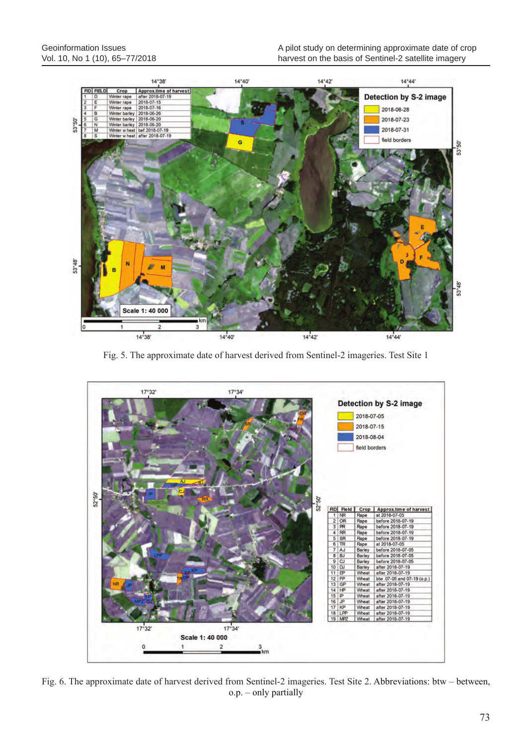

Fig. 5. The approximate date of harvest derived from Sentinel-2 imageries. Test Site 1



Fig. 6. The approximate date of harvest derived from Sentinel-2 imageries. Test Site 2. Abbreviations: btw – between, o.p. – only partially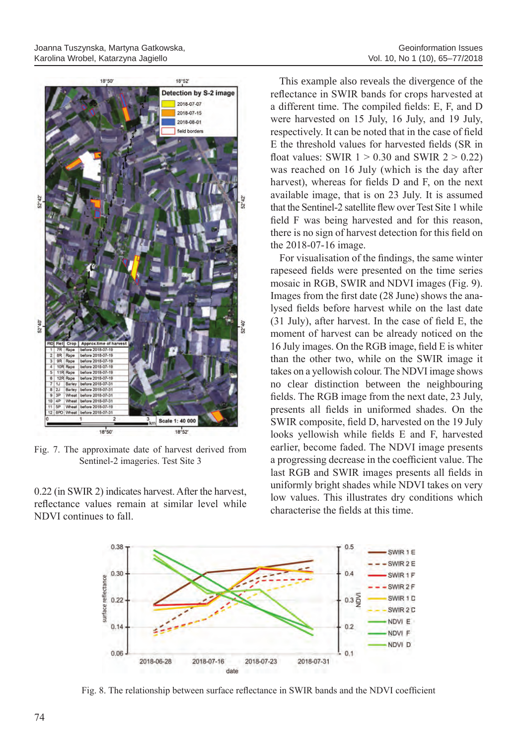

Fig. 7. The approximate date of harvest derived from Sentinel-2 imageries. Test Site 3

0.22 (in SWIR 2) indicates harvest. After the harvest, reflectance values remain at similar level while NDVI continues to fall.

This example also reveals the divergence of the reflectance in SWIR bands for crops harvested at a different time. The compiled fields: E, F, and D were harvested on 15 July, 16 July, and 19 July, respectively. It can be noted that in the case of field E the threshold values for harvested fields (SR in float values: SWIR  $1 > 0.30$  and SWIR  $2 > 0.22$ ) was reached on 16 July (which is the day after harvest), whereas for fields D and F, on the next available image, that is on 23 July. It is assumed that the Sentinel-2 satellite flew over Test Site 1 while field F was being harvested and for this reason, there is no sign of harvest detection for this field on the 2018-07-16 image.

For visualisation of the findings, the same winter rapeseed fields were presented on the time series mosaic in RGB, SWIR and NDVI images (Fig. 9). Images from the first date (28 June) shows the analysed fields before harvest while on the last date (31 July), after harvest. In the case of field E, the moment of harvest can be already noticed on the 16 July images. On the RGB image, field E is whiter than the other two, while on the SWIR image it takes on a yellowish colour. The NDVI image shows no clear distinction between the neighbouring fields. The RGB image from the next date, 23 July, presents all fields in uniformed shades. On the SWIR composite, field D, harvested on the 19 July looks yellowish while fields E and F, harvested earlier, become faded. The NDVI image presents a progressing decrease in the coefficient value. The last RGB and SWIR images presents all fields in uniformly bright shades while NDVI takes on very low values. This illustrates dry conditions which characterise the fields at this time.



Fig. 8. The relationship between surface reflectance in SWIR bands and the NDVI coefficient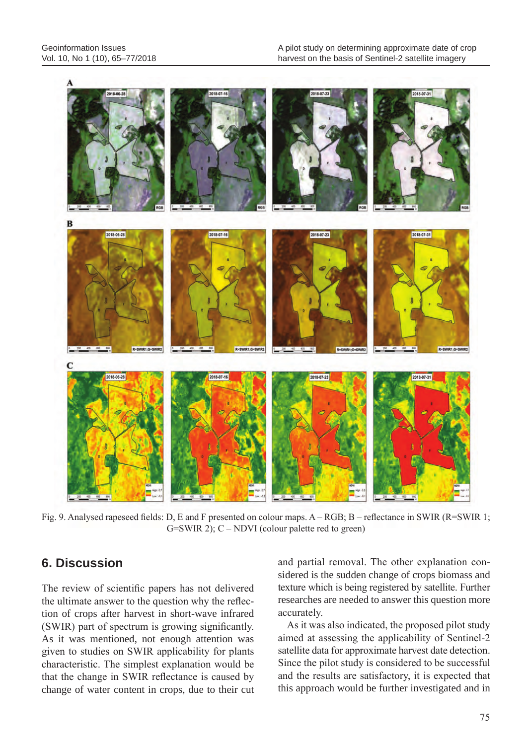Geoinformation Issues Vol. 10, No 1 (10), 65–77/2018



Fig. 9. Analysed rapeseed fields: D, E and F presented on colour maps. A – RGB; B – reflectance in SWIR (R=SWIR 1;  $G=SWIR$  2);  $C-NDVI$  (colour palette red to green)

## **6. Discussion**

The review of scientific papers has not delivered the ultimate answer to the question why the reflection of crops after harvest in short-wave infrared (SWIR) part of spectrum is growing significantly. As it was mentioned, not enough attention was given to studies on SWIR applicability for plants characteristic. The simplest explanation would be that the change in SWIR reflectance is caused by change of water content in crops, due to their cut and partial removal. The other explanation considered is the sudden change of crops biomass and texture which is being registered by satellite. Further researches are needed to answer this question more accurately.

As it was also indicated, the proposed pilot study aimed at assessing the applicability of Sentinel-2 satellite data for approximate harvest date detection. Since the pilot study is considered to be successful and the results are satisfactory, it is expected that this approach would be further investigated and in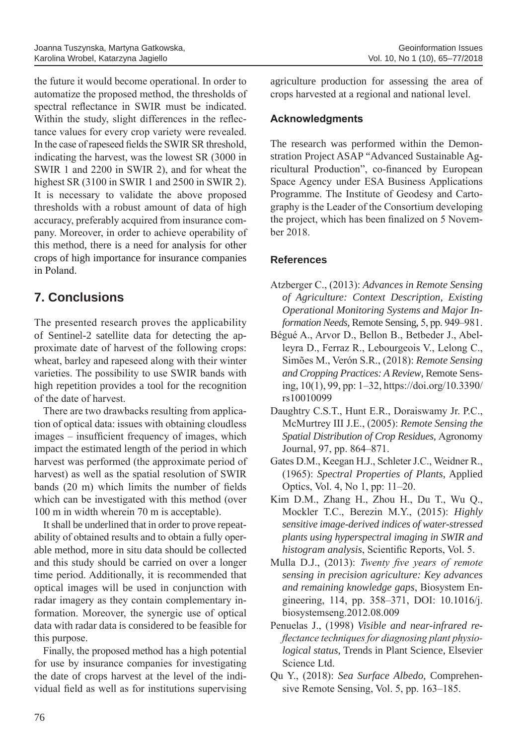the future it would become operational. In order to automatize the proposed method, the thresholds of spectral reflectance in SWIR must be indicated. Within the study, slight differences in the reflectance values for every crop variety were revealed. In the case of rapeseed fields the SWIR SR threshold, indicating the harvest, was the lowest SR (3000 in SWIR 1 and 2200 in SWIR 2), and for wheat the highest SR (3100 in SWIR 1 and 2500 in SWIR 2). It is necessary to validate the above proposed thresholds with a robust amount of data of high accuracy, preferably acquired from insurance company. Moreover, in order to achieve operability of this method, there is a need for analysis for other crops of high importance for insurance companies in Poland.

# **7. Conclusions**

The presented research proves the applicability of Sentinel-2 satellite data for detecting the approximate date of harvest of the following crops: wheat, barley and rapeseed along with their winter varieties. The possibility to use SWIR bands with high repetition provides a tool for the recognition of the date of harvest.

There are two drawbacks resulting from application of optical data: issues with obtaining cloudless images – insufficient frequency of images, which impact the estimated length of the period in which harvest was performed (the approximate period of harvest) as well as the spatial resolution of SWIR bands (20 m) which limits the number of fields which can be investigated with this method (over 100 m in width wherein 70 m is acceptable).

It shall be underlined that in order to prove repeatability of obtained results and to obtain a fully operable method, more in situ data should be collected and this study should be carried on over a longer time period. Additionally, it is recommended that optical images will be used in conjunction with radar imagery as they contain complementary information. Moreover, the synergic use of optical data with radar data is considered to be feasible for this purpose.

Finally, the proposed method has a high potential for use by insurance companies for investigating the date of crops harvest at the level of the individual field as well as for institutions supervising agriculture production for assessing the area of crops harvested at a regional and national level.

### **Acknowledgments**

The research was performed within the Demonstration Project ASAP "Advanced Sustainable Agricultural Production", co-financed by European Space Agency under ESA Business Applications Programme. The Institute of Geodesy and Cartography is the Leader of the Consortium developing the project, which has been finalized on 5 November 2018.

### **References**

- Atzberger C., (2013): *Advances in Remote Sensing of Agriculture: Context Description, Existing Operational Monitoring Systems and Major Information Needs*, Remote Sensing, 5, pp. 949–981.
- Bégué A., Arvor D., Bellon B., Betbeder J., Abelleyra D., Ferraz R., Lebourgeois V., Lelong C., Simões M., Verón S.R., (2018): *Remote Sensing and Cropping Practices: A Review*, Remote Sensing, 10(1), 99, pp: 1–32, https://doi.org/10.3390/ rs10010099
- Daughtry C.S.T., Hunt E.R., Doraiswamy Jr. P.C., McMurtrey III J.E., (2005): *Remote Sensing the Spatial Distribution of Crop Residues,* Agronomy Journal, 97, pp. 864–871.
- Gates D.M., Keegan H.J., Schleter J.C., Weidner R., (1965): *Spectral Properties of Plants*, Applied Optics, Vol. 4, No 1, pp: 11–20.
- Kim D.M., Zhang H., Zhou H., Du T., Wu Q., Mockler T.C., Berezin M.Y., (2015): *Highly sensitive image-derived indices of water-stressed plants using hyperspectral imaging in SWIR and histogram analysis*, Scientific Reports, Vol. 5.
- Mulla D.J., (2013): *Twenty five years of remote sensing in precision agriculture: Key advances and remaining knowledge gaps*, Biosystem Engineering, 114, pp. 358–371, DOI: 10.1016/j. biosystemseng.2012.08.009
- Penuelas J., (1998) *Visible and near-infrared reflectance techniques for diagnosing plant physiological status*, Trends in Plant Science, Elsevier Science Ltd.
- Qu Y., (2018): *Sea Surface Albedo*, Comprehensive Remote Sensing, Vol. 5, pp. 163–185.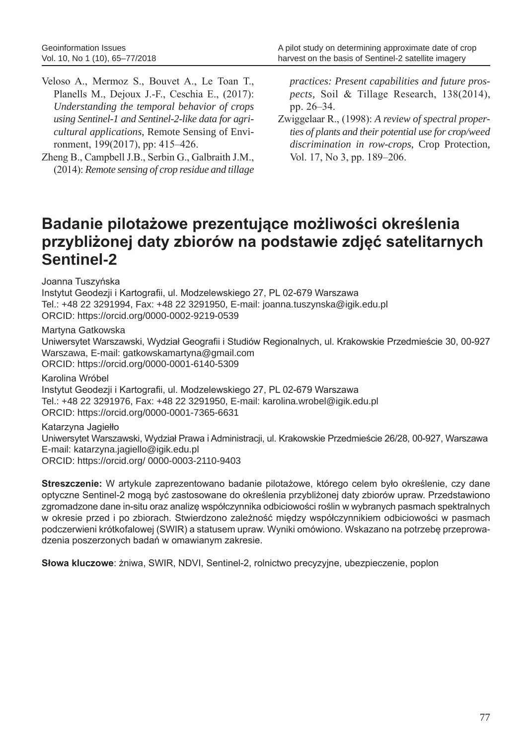- Veloso A., Mermoz S., Bouvet A., Le Toan T., Planells M., Dejoux J.-F., Ceschia E., (2017): *Understanding the temporal behavior of crops using Sentinel-1 and Sentinel-2-like data for agricultural applications*, Remote Sensing of Environment, 199(2017), pp: 415–426.
- Zheng B., Campbell J.B., Serbin G., Galbraith J.M., (2014): *Remote sensing of crop residue and tillage*

*practices: Present capabilities and future prospects,* Soil & Tillage Research, 138(2014), pp. 26–34.

Zwiggelaar R., (1998): *A review of spectral properties of plants and their potential use for crop/weed discrimination in row-crops*, Crop Protection, Vol. 17, No 3, pp. 189–206.

# **Badanie pilotażowe prezentujące możliwości określenia przybliżonej daty zbiorów na podstawie zdjęć satelitarnych Sentinel-2**

Joanna Tuszyńska

Instytut Geodezji i Kartografii, ul. Modzelewskiego 27, PL 02-679 Warszawa Tel.: +48 22 3291994, Fax: +48 22 3291950, E-mail: joanna.tuszynska@igik.edu.pl ORCID: https://orcid.org/0000-0002-9219-0539

Martyna Gatkowska

Uniwersytet Warszawski, Wydział Geografii i Studiów Regionalnych, ul. Krakowskie Przedmieście 30, 00-927 Warszawa, E-mail: gatkowskamartyna@gmail.com ORCID: https://orcid.org/0000-0001-6140-5309

Karolina Wróbel Instytut Geodezji i Kartografii, ul. Modzelewskiego 27, PL 02-679 Warszawa Tel.: +48 22 3291976, Fax: +48 22 3291950, E-mail: karolina.wrobel@igik.edu.pl ORCID: https://orcid.org/0000-0001-7365-6631

### Katarzyna Jagiełło

Uniwersytet Warszawski, Wydział Prawa i Administracji, ul. Krakowskie Przedmieście 26/28, 00-927, Warszawa E-mail: katarzyna.jagiello@igik.edu.pl ORCID: https://orcid.org/ 0000-0003-2110-9403

**Streszczenie:** W artykule zaprezentowano badanie pilotażowe, którego celem było określenie, czy dane optyczne Sentinel-2 mogą być zastosowane do określenia przybliżonej daty zbiorów upraw. Przedstawiono zgromadzone dane in-situ oraz analizę współczynnika odbiciowości roślin w wybranych pasmach spektralnych w okresie przed i po zbiorach. Stwierdzono zależność między współczynnikiem odbiciowości w pasmach podczerwieni krótkofalowej (SWIR) a statusem upraw. Wyniki omówiono. Wskazano na potrzebę przeprowadzenia poszerzonych badań w omawianym zakresie.

**Słowa kluczowe**: żniwa, SWIR, NDVI, Sentinel-2, rolnictwo precyzyjne, ubezpieczenie, poplon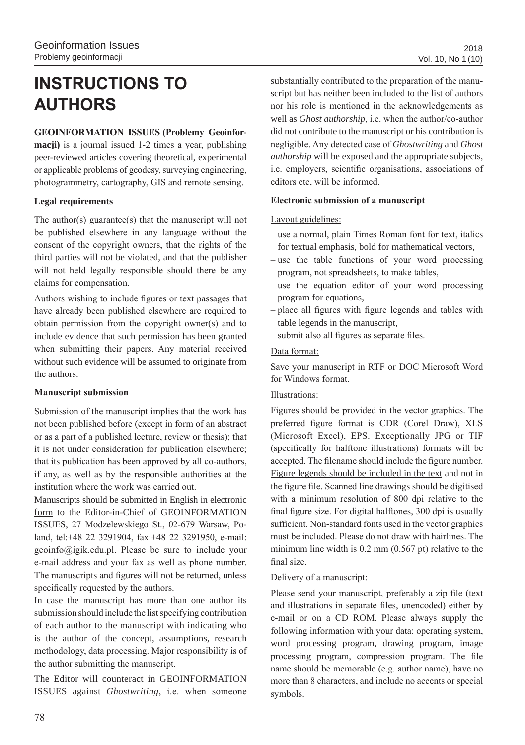# **INSTRUCTIONS TO AUTHORS**

### **GEOINFORMATION ISSUES (Problemy Geoinfor-**

**macji)** is a journal issued 1-2 times a year, publishing peer-reviewed articles covering theoretical, experimental or applicable problems of geodesy, surveying engineering, photogrammetry, cartography, GIS and remote sensing.

### **Legal requirements**

The author(s) guarantee(s) that the manuscript will not be published elsewhere in any language without the consent of the copyright owners, that the rights of the third parties will not be violated, and that the publisher will not held legally responsible should there be any claims for compensation.

Authors wishing to include figures or text passages that have already been published elsewhere are required to obtain permission from the copyright owner(s) and to include evidence that such permission has been granted when submitting their papers. Any material received without such evidence will be assumed to originate from the authors.

### **Manuscript submission**

Submission of the manuscript implies that the work has not been published before (except in form of an abstract or as a part of a published lecture, review or thesis); that it is not under consideration for publication elsewhere; that its publication has been approved by all co-authors, if any, as well as by the responsible authorities at the institution where the work was carried out.

Manuscripts should be submitted in English in electronic form to the Editor-in-Chief of GEOINFORMATION ISSUES, 27 Modzelewskiego St., 02-679 Warsaw, Poland, tel:+48 22 3291904, fax:+48 22 3291950, e-mail: geoinfo@igik.edu.pl. Please be sure to include your e-mail address and your fax as well as phone number. The manuscripts and figures will not be returned, unless specifically requested by the authors.

In case the manuscript has more than one author its submission should include the list specifying contribution of each author to the manuscript with indicating who is the author of the concept, assumptions, research methodology, data processing. Major responsibility is of the author submitting the manuscript.

The Editor will counteract in GEOINFORMATION ISSUES against *Ghostwriting*, i.e. when someone

substantially contributed to the preparation of the manuscript but has neither been included to the list of authors nor his role is mentioned in the acknowledgements as well as *Ghost authorship*, i.e. when the author/co-author did not contribute to the manuscript or his contribution is negligible. Any detected case of *Ghostwriting* and *Ghost authorship* will be exposed and the appropriate subjects, i.e. employers, scientific organisations, associations of editors etc, will be informed.

### **Electronic submission of a manuscript**

### Layout guidelines:

- use a normal, plain Times Roman font for text, italics for textual emphasis, bold for mathematical vectors,
- use the table functions of your word processing program, not spreadsheets, to make tables,
- use the equation editor of your word processing program for equations,
- place all figures with figure legends and tables with table legends in the manuscript,
- submit also all figures as separate files.

### Data format:

Save your manuscript in RTF or DOC Microsoft Word for Windows format.

### Illustrations:

Figures should be provided in the vector graphics. The preferred figure format is CDR (Corel Draw), XLS (Microsoft Excel), EPS. Exceptionally JPG or TIF (specifically for halftone illustrations) formats will be accepted. The filename should include the figure number. Figure legends should be included in the text and not in the figure file. Scanned line drawings should be digitised with a minimum resolution of 800 dpi relative to the final figure size. For digital halftones, 300 dpi is usually sufficient. Non-standard fonts used in the vector graphics must be included. Please do not draw with hairlines. The minimum line width is 0.2 mm (0.567 pt) relative to the final size.

### Delivery of a manuscript:

Please send your manuscript, preferably a zip file (text and illustrations in separate files, unencoded) either by e-mail or on a CD ROM. Please always supply the following information with your data: operating system, word processing program, drawing program, image processing program, compression program. The file name should be memorable (e.g. author name), have no more than 8 characters, and include no accents or special symbols.